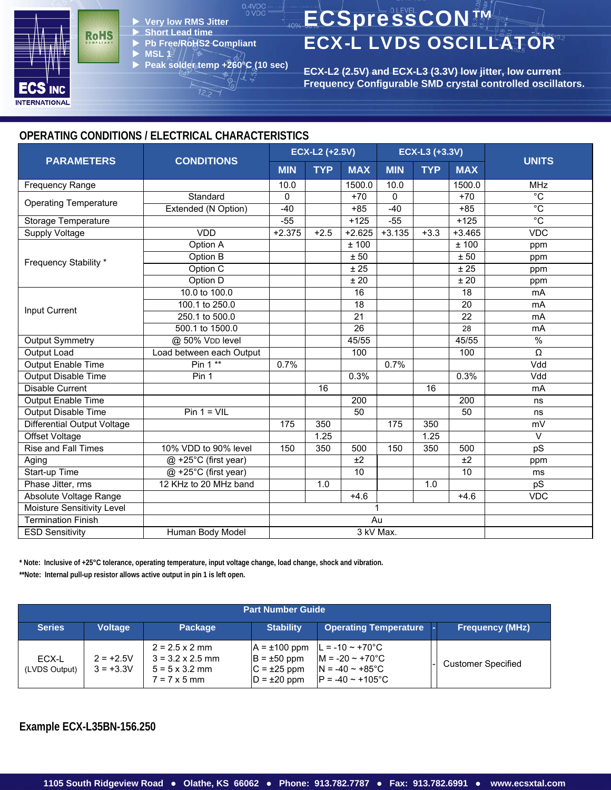

- X **Very low RMS Jitter**
- **Short Lead time**
- X **Pb Free/RoHS2 Compliant MSL 1**
- X **Peak solder temp +260°C (10 sec)**

# ECSpressCON™ ECX-L LVDS OSCILLATOR

**ECX-L2 (2.5V) and ECX-L3 (3.3V) low jitter, low current Frequency Configurable SMD crystal controlled oscillators.** 

### **OPERATING CONDITIONS / ELECTRICAL CHARACTERISTICS**

|                              |                          | <b>ECX-L2 (+2.5V)</b> |            |                     | ECX-L3 (+3.3V) |            |                 |                     |  |
|------------------------------|--------------------------|-----------------------|------------|---------------------|----------------|------------|-----------------|---------------------|--|
| <b>PARAMETERS</b>            | <b>CONDITIONS</b>        | <b>MIN</b>            | <b>TYP</b> | <b>MAX</b>          | <b>MIN</b>     | <b>TYP</b> | <b>MAX</b>      | <b>UNITS</b>        |  |
| <b>Frequency Range</b>       |                          | 10.0                  |            | 1500.0              | 10.0           |            | 1500.0          | <b>MHz</b>          |  |
|                              | Standard                 | 0                     |            | $+70$               | 0              |            | $+70$           | $\overline{C}$      |  |
| <b>Operating Temperature</b> | Extended (N Option)      | $-40$                 |            | $+85$               | $-40$          |            | $+85$           | $^{\circ}C$         |  |
| Storage Temperature          |                          | $-55$                 |            | $+125$              | $-55$          |            | $+125$          | $\rm ^{\circ}C$     |  |
| Supply Voltage               | <b>VDD</b>               | $+2.375$              | $+2.5$     | $+2.625$            | $+3.135$       | $+3.3$     | $+3.465$        | <b>VDC</b>          |  |
|                              | Option A                 |                       |            | ±100                |                |            | ±100            | ppm                 |  |
| Frequency Stability *        | Option B                 |                       |            | ± 50                |                |            | ± 50            | ppm                 |  |
|                              | Option C                 |                       |            | $\overline{\pm 25}$ |                |            | ± 25            | ppm                 |  |
|                              | Option D                 |                       |            | ±20                 |                |            | ±20             | ppm                 |  |
|                              | 10.0 to 100.0            |                       |            | 16                  |                |            | 18              | mA                  |  |
| Input Current                | 100.1 to 250.0           |                       |            | 18                  |                |            | $\overline{20}$ | mA                  |  |
|                              | 250.1 to 500.0           |                       |            | 21                  |                |            | 22              | <b>mA</b>           |  |
|                              | 500.1 to 1500.0          |                       |            | $\overline{26}$     |                |            | 28              | mA                  |  |
| <b>Output Symmetry</b>       | @ 50% VDD level          |                       |            | 45/55               |                |            | 45/55           | $\%$                |  |
| <b>Output Load</b>           | Load between each Output |                       |            | 100                 |                |            | 100             | $\overline{\Omega}$ |  |
| <b>Output Enable Time</b>    | Pin 1 **                 | 0.7%                  |            |                     | 0.7%           |            |                 | Vdd                 |  |
| <b>Output Disable Time</b>   | Pin 1                    |                       |            | 0.3%                |                |            | 0.3%            | Vdd                 |  |
| <b>Disable Current</b>       |                          |                       | 16         |                     |                | 16         |                 | mA                  |  |
| <b>Output Enable Time</b>    |                          |                       |            | 200                 |                |            | 200             | ns                  |  |
| <b>Output Disable Time</b>   | $Pin 1 = VIL$            |                       |            | 50                  |                |            | 50              | ns                  |  |
| Differential Output Voltage  |                          | 175                   | 350        |                     | 175            | 350        |                 | mV                  |  |
| Offset Voltage               |                          |                       | 1.25       |                     |                | 1.25       |                 | $\vee$              |  |
| <b>Rise and Fall Times</b>   | 10% VDD to 90% level     | 150                   | 350        | 500                 | 150            | 350        | 500             | pS                  |  |
| Aging                        | @ +25°C (first year)     |                       |            | ±2                  |                |            | ±2              | ppm                 |  |
| Start-up Time                | @ +25°C (first year)     |                       |            | $\overline{10}$     |                |            | 10              | ms                  |  |
| Phase Jitter, rms            | 12 KHz to 20 MHz band    |                       | 1.0        |                     |                | 1.0        |                 | pS                  |  |
| Absolute Voltage Range       |                          |                       |            | $+4.6$              |                |            | $+4.6$          | <b>VDC</b>          |  |
| Moisture Sensitivity Level   |                          |                       |            |                     |                |            |                 |                     |  |
| <b>Termination Finish</b>    |                          |                       | Au         |                     |                |            |                 |                     |  |
| <b>ESD Sensitivity</b>       | Human Body Model         | 3 kV Max.             |            |                     |                |            |                 |                     |  |

**\* Note: Inclusive of +25°C tolerance, operating temperature, input voltage change, load change, shock and vibration.**

**\*\*Note: Internal pull-up resistor allows active output in pin 1 is left open.**

| Part Number Guide      |                            |                                                                                                  |                                                                                |                                                                                                                               |  |                           |
|------------------------|----------------------------|--------------------------------------------------------------------------------------------------|--------------------------------------------------------------------------------|-------------------------------------------------------------------------------------------------------------------------------|--|---------------------------|
| <b>Series</b>          | <b>Voltage</b>             | <b>Package</b>                                                                                   | <b>Stability</b>                                                               | <b>Operating Temperature</b>                                                                                                  |  | <b>Frequency (MHz)</b>    |
| ECX-L<br>(LVDS Output) | $2 = +2.5V$<br>$3 = +3.3V$ | $2 = 2.5 \times 2$ mm<br>$3 = 3.2 \times 2.5$ mm<br>$5 = 5 \times 3.2$ mm<br>$7 = 7 \times 5$ mm | $A = \pm 100$ ppm<br>$B = \pm 50$ ppm<br>$ C = \pm 25$ ppm<br>$D = \pm 20$ ppm | $L = -10 \sim +70^{\circ}C$<br>$M = -20 \approx +70^{\circ}C$<br>$N = -40 \sim +85^{\circ}C$<br>$IP = -40 \sim +105^{\circ}C$ |  | <b>Customer Specified</b> |

**Example ECX-L35BN-156.250**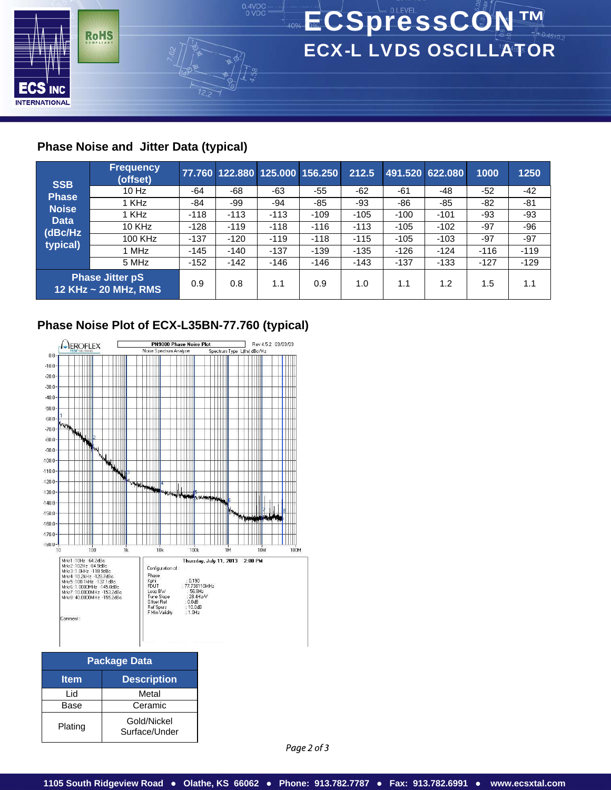

## **Phase Noise and Jitter Data (typical)**

| <b>SSB</b>   | <b>Frequency</b><br>(offset)                   |        |        |        | 77.760 122.880 125.000 156.250 | 212.5  |        | 491.520 622.080 | 1000   | 1250   |
|--------------|------------------------------------------------|--------|--------|--------|--------------------------------|--------|--------|-----------------|--------|--------|
| <b>Phase</b> | $10$ Hz                                        | -64    | -68    | -63    | -55                            | -62    | -61    | -48             | $-52$  | $-42$  |
| <b>Noise</b> | 1 KHz                                          | -84    | -99    | -94    | $-85$                          | -93    | -86    | $-85$           | $-82$  | -81    |
| <b>Data</b>  | 1 KHz                                          | $-118$ | $-113$ | $-113$ | $-109$                         | $-105$ | $-100$ | $-101$          | -93    | -93    |
| (dBc/Hz)     | <b>10 KHz</b>                                  | $-128$ | $-119$ | $-118$ | $-116$                         | $-113$ | $-105$ | $-102$          | -97    | -96    |
| typical)     | 100 KHz                                        | $-137$ | $-120$ | $-119$ | $-118$                         | $-115$ | $-105$ | $-103$          | $-97$  | -97    |
|              | 1 MHz                                          | $-145$ | $-140$ | $-137$ | $-139$                         | $-135$ | $-126$ | $-124$          | $-116$ | $-119$ |
|              | 5 MHz                                          | $-152$ | $-142$ | $-146$ | $-146$                         | $-143$ | $-137$ | $-133$          | $-127$ | $-129$ |
|              | <b>Phase Jitter pS</b><br>12 KHz ~ 20 MHz, RMS | 0.9    | 0.8    | 1.1    | 0.9                            | 1.0    | 1.1    | 1.2             | 1.5    | 1.1    |

# **Phase Noise Plot of ECX-L35BN-77.760 (typical)**



| <b>Package Data</b> |                              |  |  |  |  |
|---------------------|------------------------------|--|--|--|--|
| <b>Item</b>         | <b>Description</b>           |  |  |  |  |
| Lid                 | Metal                        |  |  |  |  |
| Base                | Ceramic                      |  |  |  |  |
| Plating             | Gold/Nickel<br>Surface/Under |  |  |  |  |

Page 2 of 3